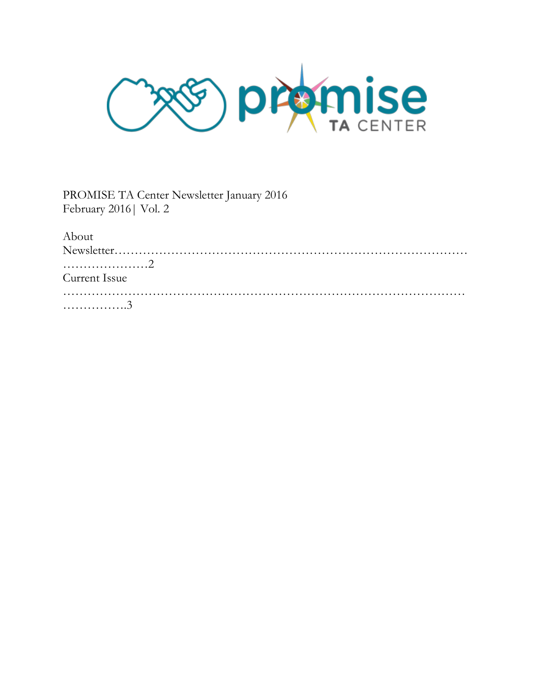**PRAMISE**  $\overline{\mathcal{S}}$ 

PROMISE TA Center Newsletter January 2016 February 2016| Vol. 2

| About         |  |  |  |
|---------------|--|--|--|
|               |  |  |  |
|               |  |  |  |
| Current Issue |  |  |  |
|               |  |  |  |
| . 3           |  |  |  |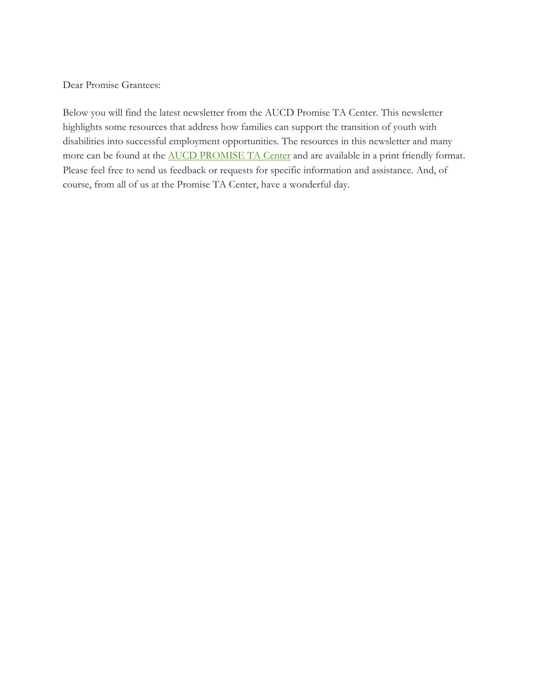Dear Promise Grantees:

Below you will find the latest newsletter from the AUCD Promise TA Center. This newsletter highlights some resources that address how families can support the transition of youth with disabilities into successful employment opportunities. The resources in this newsletter and many more can be found at the **[AUCD PROMISE TA Center](http://www.promisetacenter.org/)** and are available in a print friendly format. Please feel free to send us feedback or requests for specific information and assistance. And, of course, from all of us at the Promise TA Center, have a wonderful day.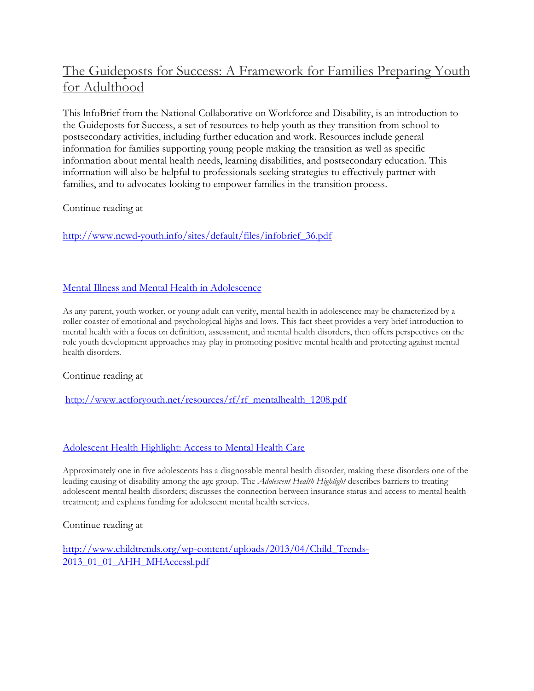# [The Guideposts for Success: A Framework for Families Preparing Youth](http://www.ncwd-youth.info/sites/default/files/infobrief_36.pdf)  [for Adulthood](http://www.ncwd-youth.info/sites/default/files/infobrief_36.pdf)

This lnfoBrief from the National Collaborative on Workforce and Disability, is an introduction to the Guideposts for Success, a set of resources to help youth as they transition from school to postsecondary activities, including further education and work. Resources include general information for families supporting young people making the transition as well as specific information about mental health needs, learning disabilities, and postsecondary education. This information will also be helpful to professionals seeking strategies to effectively partner with families, and to advocates looking to empower families in the transition process.

Continue reading at

[http://www.ncwd-youth.info/sites/default/files/infobrief\\_36.pdf](http://www.ncwd-youth.info/sites/default/files/infobrief_36.pdf)

### [Mental Illness and Mental Health in Adolescence](http://www.actforyouth.net/resources/rf/rf_mentalhealth_1208.pdf)

As any parent, youth worker, or young adult can verify, mental health in adolescence may be characterized by a roller coaster of emotional and psychological highs and lows. This fact sheet provides a very brief introduction to mental health with a focus on definition, assessment, and mental health disorders, then offers perspectives on the role youth development approaches may play in promoting positive mental health and protecting against mental health disorders.

#### Continue reading at

[http://www.actforyouth.net/resources/rf/rf\\_mentalhealth\\_1208.pdf](http://www.actforyouth.net/resources/rf/rf_mentalhealth_1208.pdf)

#### [Adolescent Health Highlight: Access to Mental Health Care](http://www.childtrends.org/wp-content/uploads/2013/04/Child_Trends-2013_01_01_AHH_MHAccessl.pdf)

Approximately one in five adolescents has a diagnosable mental health disorder, making these disorders one of the leading causing of disability among the age group. The *Adolescent Health Highlight* describes barriers to treating adolescent mental health disorders; discusses the connection between insurance status and access to mental health treatment; and explains funding for adolescent mental health services.

Continue reading at

[http://www.childtrends.org/wp-content/uploads/2013/04/Child\\_Trends-](http://www.childtrends.org/wp-content/uploads/2013/04/Child_Trends-2013_01_01_AHH_MHAccessl.pdf)[2013\\_01\\_01\\_AHH\\_MHAccessl.pdf](http://www.childtrends.org/wp-content/uploads/2013/04/Child_Trends-2013_01_01_AHH_MHAccessl.pdf)